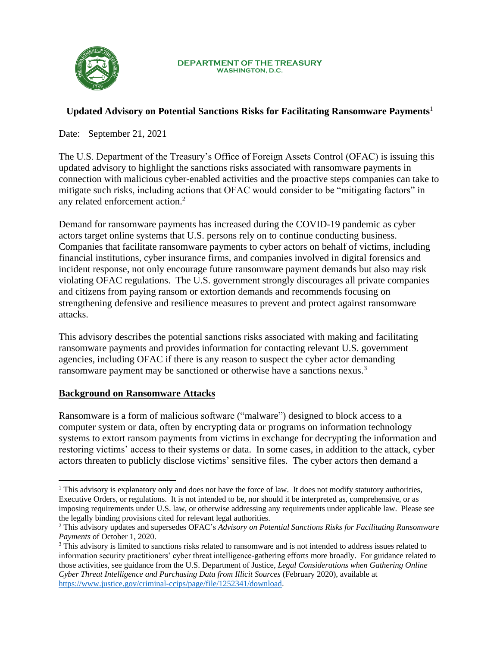

#### **DEPARTMENT OF THE TREASURY WASHINGTON, D.C.**

# **Updated Advisory on Potential Sanctions Risks for Facilitating Ransomware Payments**<sup>1</sup>

Date: September 21, 2021

The U.S. Department of the Treasury's Office of Foreign Assets Control (OFAC) is issuing this updated advisory to highlight the sanctions risks associated with ransomware payments in connection with malicious cyber-enabled activities and the proactive steps companies can take to mitigate such risks, including actions that OFAC would consider to be "mitigating factors" in any related enforcement action. 2

Demand for ransomware payments has increased during the COVID-19 pandemic as cyber actors target online systems that U.S. persons rely on to continue conducting business. Companies that facilitate ransomware payments to cyber actors on behalf of victims, including financial institutions, cyber insurance firms, and companies involved in digital forensics and incident response, not only encourage future ransomware payment demands but also may risk violating OFAC regulations. The U.S. government strongly discourages all private companies and citizens from paying ransom or extortion demands and recommends focusing on strengthening defensive and resilience measures to prevent and protect against ransomware attacks.

This advisory describes the potential sanctions risks associated with making and facilitating ransomware payments and provides information for contacting relevant U.S. government agencies, including OFAC if there is any reason to suspect the cyber actor demanding ransomware payment may be sanctioned or otherwise have a sanctions nexus.<sup>3</sup>

# **Background on Ransomware Attacks**

Ransomware is a form of malicious software ("malware") designed to block access to a computer system or data, often by encrypting data or programs on information technology systems to extort ransom payments from victims in exchange for decrypting the information and restoring victims' access to their systems or data. In some cases, in addition to the attack, cyber actors threaten to publicly disclose victims' sensitive files. The cyber actors then demand a

<sup>&</sup>lt;sup>1</sup> This advisory is explanatory only and does not have the force of law. It does not modify statutory authorities, Executive Orders, or regulations. It is not intended to be, nor should it be interpreted as, comprehensive, or as imposing requirements under U.S. law, or otherwise addressing any requirements under applicable law. Please see the legally binding provisions cited for relevant legal authorities.

<sup>2</sup> This advisory updates and supersedes OFAC's *Advisory on Potential Sanctions Risks for Facilitating Ransomware Payments* of October 1, 2020.

<sup>&</sup>lt;sup>3</sup> This advisory is limited to sanctions risks related to ransomware and is not intended to address issues related to information security practitioners' cyber threat intelligence-gathering efforts more broadly. For guidance related to those activities, see guidance from the U.S. Department of Justice, *Legal Considerations when Gathering Online Cyber Threat Intelligence and Purchasing Data from Illicit Sources* (February 2020), available at [https://www.justice.gov/criminal-ccips/page/file/1252341/download.](https://www.justice.gov/criminal-ccips/page/file/1252341/download)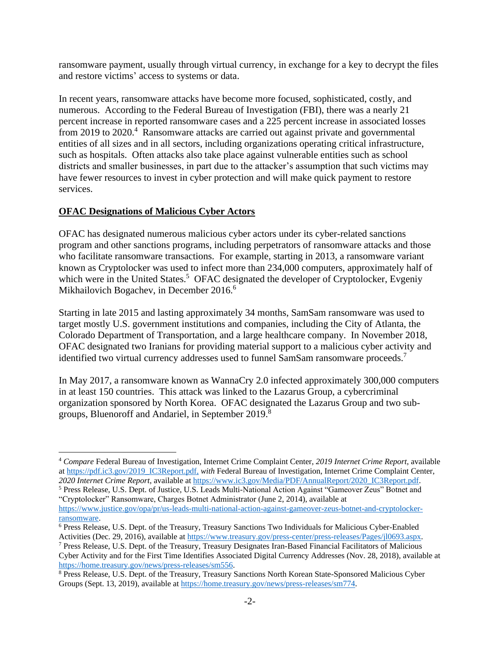ransomware payment, usually through virtual currency, in exchange for a key to decrypt the files and restore victims' access to systems or data.

In recent years, ransomware attacks have become more focused, sophisticated, costly, and numerous. According to the Federal Bureau of Investigation (FBI), there was a nearly 21 percent increase in reported ransomware cases and a 225 percent increase in associated losses from 2019 to 2020.<sup>4</sup> Ransomware attacks are carried out against private and governmental entities of all sizes and in all sectors, including organizations operating critical infrastructure, such as hospitals. Often attacks also take place against vulnerable entities such as school districts and smaller businesses, in part due to the attacker's assumption that such victims may have fewer resources to invest in cyber protection and will make quick payment to restore services.

## **OFAC Designations of Malicious Cyber Actors**

OFAC has designated numerous malicious cyber actors under its cyber-related sanctions program and other sanctions programs, including perpetrators of ransomware attacks and those who facilitate ransomware transactions. For example, starting in 2013, a ransomware variant known as Cryptolocker was used to infect more than 234,000 computers, approximately half of which were in the United States.<sup>5</sup> OFAC designated the developer of Cryptolocker, Evgeniy Mikhailovich Bogachev, in December 2016.<sup>6</sup>

Starting in late 2015 and lasting approximately 34 months, SamSam ransomware was used to target mostly U.S. government institutions and companies, including the City of Atlanta, the Colorado Department of Transportation, and a large healthcare company. In November 2018, OFAC designated two Iranians for providing material support to a malicious cyber activity and identified two virtual currency addresses used to funnel SamSam ransomware proceeds.<sup>7</sup>

In May 2017, a ransomware known as WannaCry 2.0 infected approximately 300,000 computers in at least 150 countries. This attack was linked to the Lazarus Group, a cybercriminal organization sponsored by North Korea. OFAC designated the Lazarus Group and two subgroups, Bluenoroff and Andariel, in September 2019.<sup>8</sup>

<sup>5</sup> Press Release, U.S. Dept. of Justice, U.S. Leads Multi-National Action Against "Gameover Zeus" Botnet and "Cryptolocker" Ransomware, Charges Botnet Administrator (June 2, 2014), available at

<sup>4</sup> *Compare* Federal Bureau of Investigation, Internet Crime Complaint Center, *2019 Internet Crime Report*, available a[t https://pdf.ic3.gov/2019\\_IC3Report.pdf,](https://pdf.ic3.gov/2019_IC3Report.pdf) *with* Federal Bureau of Investigation, Internet Crime Complaint Center, *2020 Internet Crime Report*, available a[t https://www.ic3.gov/Media/PDF/AnnualReport/2020\\_IC3Report.pdf.](https://www.ic3.gov/Media/PDF/AnnualReport/2020_IC3Report.pdf)

[https://www.justice.gov/opa/pr/us-leads-multi-national-action-against-gameover-zeus-botnet-and-cryptolocker](https://www.justice.gov/opa/pr/us-leads-multi-national-action-against-gameover-zeus-botnet-and-cryptolocker-ransomware)[ransomware.](https://www.justice.gov/opa/pr/us-leads-multi-national-action-against-gameover-zeus-botnet-and-cryptolocker-ransomware)

<sup>6</sup> Press Release, U.S. Dept. of the Treasury, Treasury Sanctions Two Individuals for Malicious Cyber-Enabled Activities (Dec. 29, 2016), available at [https://www.treasury.gov/press-center/press-releases/Pages/jl0693.aspx.](https://www.treasury.gov/press-center/press-releases/Pages/jl0693.aspx)

<sup>7</sup> Press Release, U.S. Dept. of the Treasury, Treasury Designates Iran-Based Financial Facilitators of Malicious Cyber Activity and for the First Time Identifies Associated Digital Currency Addresses (Nov. 28, 2018), available at [https://home.treasury.gov/news/press-releases/sm556.](https://home.treasury.gov/news/press-releases/sm556)

<sup>8</sup> Press Release, U.S. Dept. of the Treasury, Treasury Sanctions North Korean State-Sponsored Malicious Cyber Groups (Sept. 13, 2019), available a[t https://home.treasury.gov/news/press-releases/sm774.](https://home.treasury.gov/news/press-releases/sm774)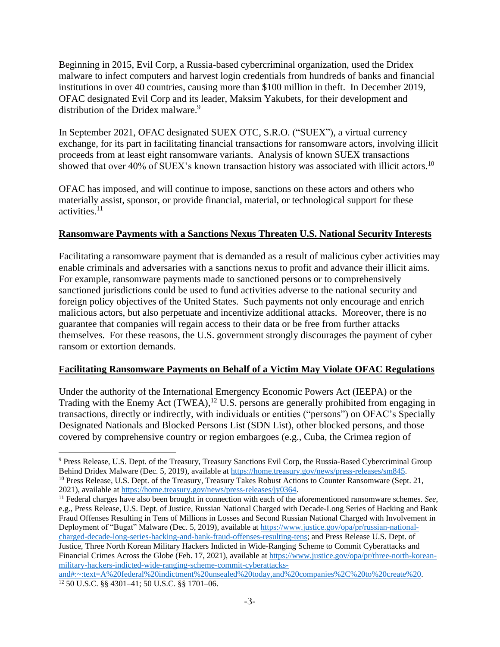Beginning in 2015, Evil Corp, a Russia-based cybercriminal organization, used the Dridex malware to infect computers and harvest login credentials from hundreds of banks and financial institutions in over 40 countries, causing more than \$100 million in theft. In December 2019, OFAC designated Evil Corp and its leader, Maksim Yakubets, for their development and distribution of the Dridex malware.<sup>9</sup>

In September 2021, OFAC designated SUEX OTC, S.R.O. ("SUEX"), a virtual currency exchange, for its part in facilitating financial transactions for ransomware actors, involving illicit proceeds from at least eight ransomware variants. Analysis of known SUEX transactions showed that over 40% of SUEX's known transaction history was associated with illicit actors.<sup>10</sup>

OFAC has imposed, and will continue to impose, sanctions on these actors and others who materially assist, sponsor, or provide financial, material, or technological support for these activities. 11

#### **Ransomware Payments with a Sanctions Nexus Threaten U.S. National Security Interests**

Facilitating a ransomware payment that is demanded as a result of malicious cyber activities may enable criminals and adversaries with a sanctions nexus to profit and advance their illicit aims. For example, ransomware payments made to sanctioned persons or to comprehensively sanctioned jurisdictions could be used to fund activities adverse to the national security and foreign policy objectives of the United States. Such payments not only encourage and enrich malicious actors, but also perpetuate and incentivize additional attacks. Moreover, there is no guarantee that companies will regain access to their data or be free from further attacks themselves. For these reasons, the U.S. government strongly discourages the payment of cyber ransom or extortion demands.

#### **Facilitating Ransomware Payments on Behalf of a Victim May Violate OFAC Regulations**

Under the authority of the International Emergency Economic Powers Act (IEEPA) or the Trading with the Enemy Act (TWEA),<sup>12</sup> U.S. persons are generally prohibited from engaging in transactions, directly or indirectly, with individuals or entities ("persons") on OFAC's Specially Designated Nationals and Blocked Persons List (SDN List), other blocked persons, and those covered by comprehensive country or region embargoes (e.g., Cuba, the Crimea region of

<sup>9</sup> Press Release, U.S. Dept. of the Treasury, Treasury Sanctions Evil Corp, the Russia-Based Cybercriminal Group Behind Dridex Malware (Dec. 5, 2019), available at [https://home.treasury.gov/news/press-releases/sm845.](https://home.treasury.gov/news/press-releases/sm845) <sup>10</sup> Press Release, U.S. Dept. of the Treasury, Treasury Takes Robust Actions to Counter Ransomware (Sept. 21, 2021), available a[t https://home.treasury.gov/news/press-releases/jy0364.](https://home.treasury.gov/news/press-releases/jy0364)

<sup>&</sup>lt;sup>11</sup> Federal charges have also been brought in connection with each of the aforementioned ransomware schemes. See, e.g., Press Release, U.S. Dept. of Justice, Russian National Charged with Decade-Long Series of Hacking and Bank Fraud Offenses Resulting in Tens of Millions in Losses and Second Russian National Charged with Involvement in Deployment of "Bugat" Malware (Dec. 5, 2019), available at [https://www.justice.gov/opa/pr/russian-national](https://www.justice.gov/opa/pr/russian-national-charged-decade-long-series-hacking-and-bank-fraud-offenses-resulting-tens)[charged-decade-long-series-hacking-and-bank-fraud-offenses-resulting-tens;](https://www.justice.gov/opa/pr/russian-national-charged-decade-long-series-hacking-and-bank-fraud-offenses-resulting-tens) and Press Release U.S. Dept. of Justice, Three North Korean Military Hackers Indicted in Wide-Ranging Scheme to Commit Cyberattacks and Financial Crimes Across the Globe (Feb. 17, 2021), available at [https://www.justice.gov/opa/pr/three-north-korean](https://www.justice.gov/opa/pr/three-north-korean-military-hackers-indicted-wide-ranging-scheme-commit-cyberattacks-and#:~:text=A%20federal%20indictment%20unsealed%20today,and%20companies%2C%20to%20create%20)[military-hackers-indicted-wide-ranging-scheme-commit-cyberattacks-](https://www.justice.gov/opa/pr/three-north-korean-military-hackers-indicted-wide-ranging-scheme-commit-cyberattacks-and#:~:text=A%20federal%20indictment%20unsealed%20today,and%20companies%2C%20to%20create%20)

[and#:~:text=A%20federal%20indictment%20unsealed%20today,and%20companies%2C%20to%20create%20.](https://www.justice.gov/opa/pr/three-north-korean-military-hackers-indicted-wide-ranging-scheme-commit-cyberattacks-and#:~:text=A%20federal%20indictment%20unsealed%20today,and%20companies%2C%20to%20create%20) <sup>12</sup> 50 U.S.C. §§ 4301–41; 50 U.S.C. §§ 1701–06.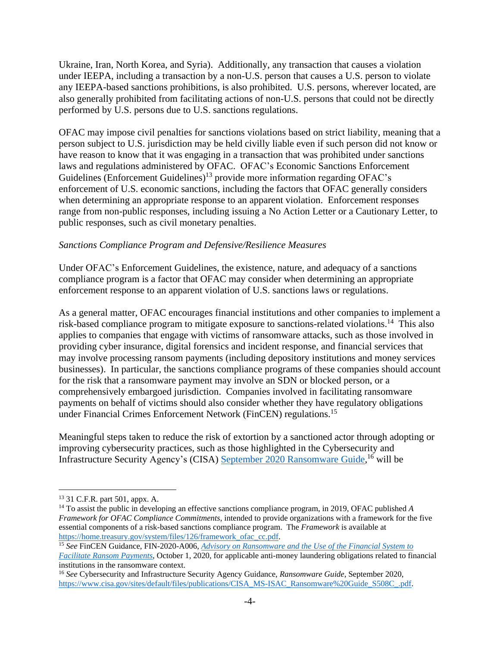Ukraine, Iran, North Korea, and Syria). Additionally, any transaction that causes a violation under IEEPA, including a transaction by a non-U.S. person that causes a U.S. person to violate any IEEPA-based sanctions prohibitions, is also prohibited. U.S. persons, wherever located, are also generally prohibited from facilitating actions of non-U.S. persons that could not be directly performed by U.S. persons due to U.S. sanctions regulations.

OFAC may impose civil penalties for sanctions violations based on strict liability, meaning that a person subject to U.S. jurisdiction may be held civilly liable even if such person did not know or have reason to know that it was engaging in a transaction that was prohibited under sanctions laws and regulations administered by OFAC. OFAC's Economic Sanctions Enforcement Guidelines (Enforcement Guidelines)<sup>13</sup> provide more information regarding OFAC's enforcement of U.S. economic sanctions, including the factors that OFAC generally considers when determining an appropriate response to an apparent violation. Enforcement responses range from non-public responses, including issuing a No Action Letter or a Cautionary Letter, to public responses, such as civil monetary penalties.

## *Sanctions Compliance Program and Defensive/Resilience Measures*

Under OFAC's Enforcement Guidelines, the existence, nature, and adequacy of a sanctions compliance program is a factor that OFAC may consider when determining an appropriate enforcement response to an apparent violation of U.S. sanctions laws or regulations.

As a general matter, OFAC encourages financial institutions and other companies to implement a risk-based compliance program to mitigate exposure to sanctions-related violations.<sup>14</sup> This also applies to companies that engage with victims of ransomware attacks, such as those involved in providing cyber insurance, digital forensics and incident response, and financial services that may involve processing ransom payments (including depository institutions and money services businesses). In particular, the sanctions compliance programs of these companies should account for the risk that a ransomware payment may involve an SDN or blocked person, or a comprehensively embargoed jurisdiction. Companies involved in facilitating ransomware payments on behalf of victims should also consider whether they have regulatory obligations under Financial Crimes Enforcement Network (FinCEN) regulations.<sup>15</sup>

Meaningful steps taken to reduce the risk of extortion by a sanctioned actor through adopting or improving cybersecurity practices, such as those highlighted in the Cybersecurity and Infrastructure Security Agency's (CISA) September [2020 Ransomware Guide,](https://www.cisa.gov/sites/default/files/publications/CISA_MS-ISAC_Ransomware%20Guide_S508C_.pdf) <sup>16</sup> will be

<sup>13</sup> 31 C.F.R. part 501, appx. A.

<sup>14</sup> To assist the public in developing an effective sanctions compliance program, in 2019, OFAC published *A Framework for OFAC Compliance Commitments*, intended to provide organizations with a framework for the five essential components of a risk-based sanctions compliance program. The *Framework* is available at [https://home.treasury.gov/system/files/126/framework\\_ofac\\_cc.pdf.](https://home.treasury.gov/system/files/126/framework_ofac_cc.pdf)

<sup>15</sup> *See* FinCEN Guidance, FIN-2020-A006, *[Advisory on Ransomware and the Use of the Financial System to](https://www.fincen.gov/sites/default/files/advisory/2020-10-01/Advisory%20Ransomware%20FINAL%20508.pdf)  [Facilitate Ransom Payments](https://www.fincen.gov/sites/default/files/advisory/2020-10-01/Advisory%20Ransomware%20FINAL%20508.pdf)*, October 1, 2020, for applicable anti-money laundering obligations related to financial institutions in the ransomware context.

<sup>16</sup> *See* Cybersecurity and Infrastructure Security Agency Guidance, *Ransomware Guide*, September 2020, [https://www.cisa.gov/sites/default/files/publications/CISA\\_MS-ISAC\\_Ransomware%20Guide\\_S508C\\_.pdf.](https://www.cisa.gov/sites/default/files/publications/CISA_MS-ISAC_Ransomware%20Guide_S508C_.pdf)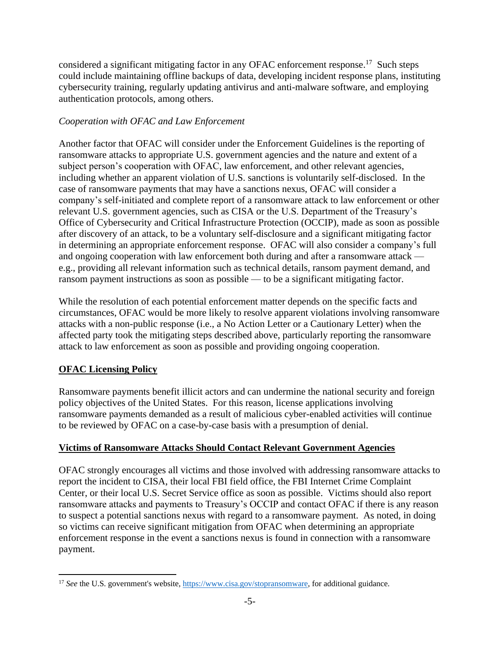considered a significant mitigating factor in any OFAC enforcement response.<sup>17</sup> Such steps could include maintaining offline backups of data, developing incident response plans, instituting cybersecurity training, regularly updating antivirus and anti-malware software, and employing authentication protocols, among others.

## *Cooperation with OFAC and Law Enforcement*

Another factor that OFAC will consider under the Enforcement Guidelines is the reporting of ransomware attacks to appropriate U.S. government agencies and the nature and extent of a subject person's cooperation with OFAC, law enforcement, and other relevant agencies, including whether an apparent violation of U.S. sanctions is voluntarily self-disclosed. In the case of ransomware payments that may have a sanctions nexus, OFAC will consider a company's self-initiated and complete report of a ransomware attack to law enforcement or other relevant U.S. government agencies, such as CISA or the U.S. Department of the Treasury's Office of Cybersecurity and Critical Infrastructure Protection (OCCIP), made as soon as possible after discovery of an attack, to be a voluntary self-disclosure and a significant mitigating factor in determining an appropriate enforcement response. OFAC will also consider a company's full and ongoing cooperation with law enforcement both during and after a ransomware attack e.g., providing all relevant information such as technical details, ransom payment demand, and ransom payment instructions as soon as possible — to be a significant mitigating factor.

While the resolution of each potential enforcement matter depends on the specific facts and circumstances, OFAC would be more likely to resolve apparent violations involving ransomware attacks with a non-public response (i.e., a No Action Letter or a Cautionary Letter) when the affected party took the mitigating steps described above, particularly reporting the ransomware attack to law enforcement as soon as possible and providing ongoing cooperation.

# **OFAC Licensing Policy**

Ransomware payments benefit illicit actors and can undermine the national security and foreign policy objectives of the United States. For this reason, license applications involving ransomware payments demanded as a result of malicious cyber-enabled activities will continue to be reviewed by OFAC on a case-by-case basis with a presumption of denial.

## **Victims of Ransomware Attacks Should Contact Relevant Government Agencies**

OFAC strongly encourages all victims and those involved with addressing ransomware attacks to report the incident to CISA, their local FBI field office, the FBI Internet Crime Complaint Center, or their local U.S. Secret Service office as soon as possible. Victims should also report ransomware attacks and payments to Treasury's OCCIP and contact OFAC if there is any reason to suspect a potential sanctions nexus with regard to a ransomware payment. As noted, in doing so victims can receive significant mitigation from OFAC when determining an appropriate enforcement response in the event a sanctions nexus is found in connection with a ransomware payment.

<sup>&</sup>lt;sup>17</sup> *See* the U.S. government's website, [https://www.cisa.gov/stopransomware,](https://www.cisa.gov/stopransomware) for additional guidance.